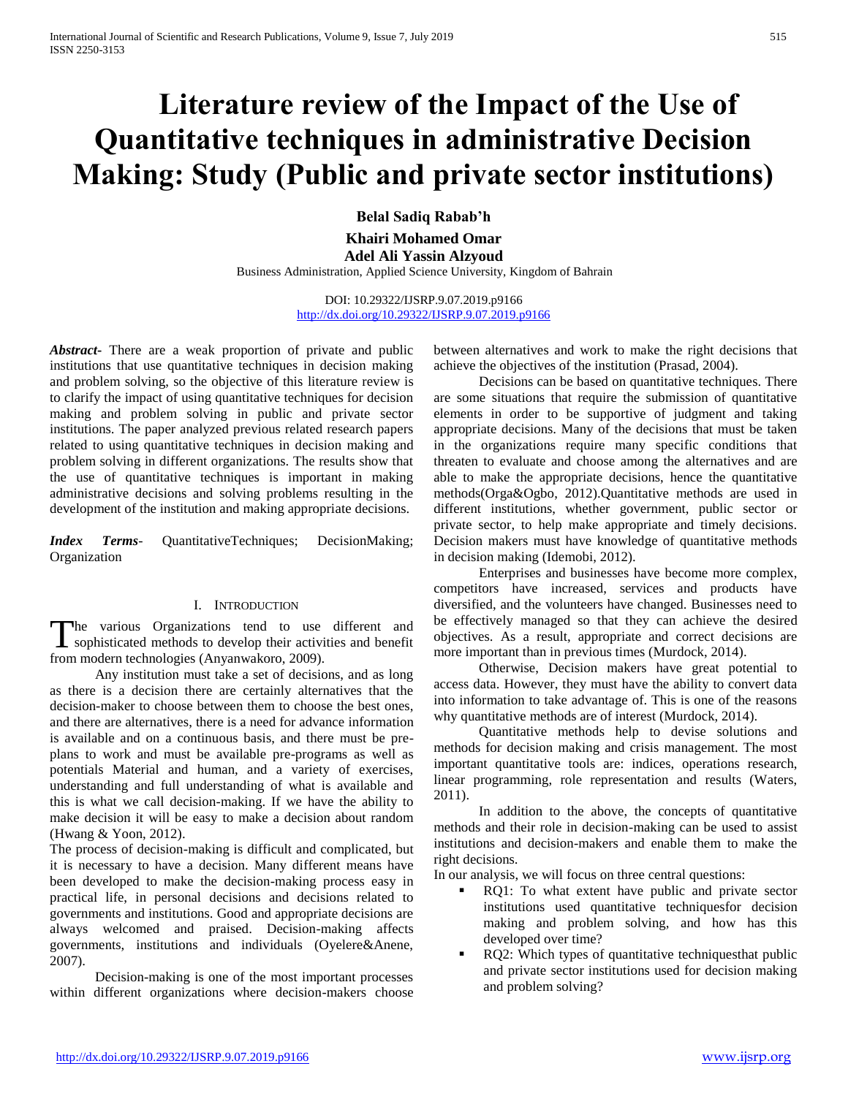# **Literature review of the Impact of the Use of Quantitative techniques in administrative Decision Making: Study (Public and private sector institutions)**

**Belal Sadiq Rabab'h** 

**Khairi Mohamed Omar Adel Ali Yassin Alzyoud**

Business Administration, Applied Science University, Kingdom of Bahrain

DOI: 10.29322/IJSRP.9.07.2019.p9166 <http://dx.doi.org/10.29322/IJSRP.9.07.2019.p9166>

*Abstract***-** There are a weak proportion of private and public institutions that use quantitative techniques in decision making and problem solving, so the objective of this literature review is to clarify the impact of using quantitative techniques for decision making and problem solving in public and private sector institutions. The paper analyzed previous related research papers related to using quantitative techniques in decision making and problem solving in different organizations. The results show that the use of quantitative techniques is important in making administrative decisions and solving problems resulting in the development of the institution and making appropriate decisions.

*Index Terms*- QuantitativeTechniques; DecisionMaking; Organization

#### I. INTRODUCTION

The various Organizations tend to use different and The various Organizations tend to use different and sophisticated methods to develop their activities and benefit from modern technologies (Anyanwakoro, 2009).

 Any institution must take a set of decisions, and as long as there is a decision there are certainly alternatives that the decision-maker to choose between them to choose the best ones, and there are alternatives, there is a need for advance information is available and on a continuous basis, and there must be preplans to work and must be available pre-programs as well as potentials Material and human, and a variety of exercises, understanding and full understanding of what is available and this is what we call decision-making. If we have the ability to make decision it will be easy to make a decision about random (Hwang & Yoon, 2012).

The process of decision-making is difficult and complicated, but it is necessary to have a decision. Many different means have been developed to make the decision-making process easy in practical life, in personal decisions and decisions related to governments and institutions. Good and appropriate decisions are always welcomed and praised. Decision-making affects governments, institutions and individuals (Oyelere&Anene, 2007).

 Decision-making is one of the most important processes within different organizations where decision-makers choose between alternatives and work to make the right decisions that achieve the objectives of the institution (Prasad, 2004).

 Decisions can be based on quantitative techniques. There are some situations that require the submission of quantitative elements in order to be supportive of judgment and taking appropriate decisions. Many of the decisions that must be taken in the organizations require many specific conditions that threaten to evaluate and choose among the alternatives and are able to make the appropriate decisions, hence the quantitative methods(Orga&Ogbo, 2012).Quantitative methods are used in different institutions, whether government, public sector or private sector, to help make appropriate and timely decisions. Decision makers must have knowledge of quantitative methods in decision making (Idemobi, 2012).

 Enterprises and businesses have become more complex, competitors have increased, services and products have diversified, and the volunteers have changed. Businesses need to be effectively managed so that they can achieve the desired objectives. As a result, appropriate and correct decisions are more important than in previous times (Murdock, 2014).

 Otherwise, Decision makers have great potential to access data. However, they must have the ability to convert data into information to take advantage of. This is one of the reasons why quantitative methods are of interest (Murdock, 2014).

 Quantitative methods help to devise solutions and methods for decision making and crisis management. The most important quantitative tools are: indices, operations research, linear programming, role representation and results (Waters, 2011).

 In addition to the above, the concepts of quantitative methods and their role in decision-making can be used to assist institutions and decision-makers and enable them to make the right decisions.

In our analysis, we will focus on three central questions:

- RQ1: To what extent have public and private sector institutions used quantitative techniquesfor decision making and problem solving, and how has this developed over time?
- RQ2: Which types of quantitative techniquesthat public and private sector institutions used for decision making and problem solving?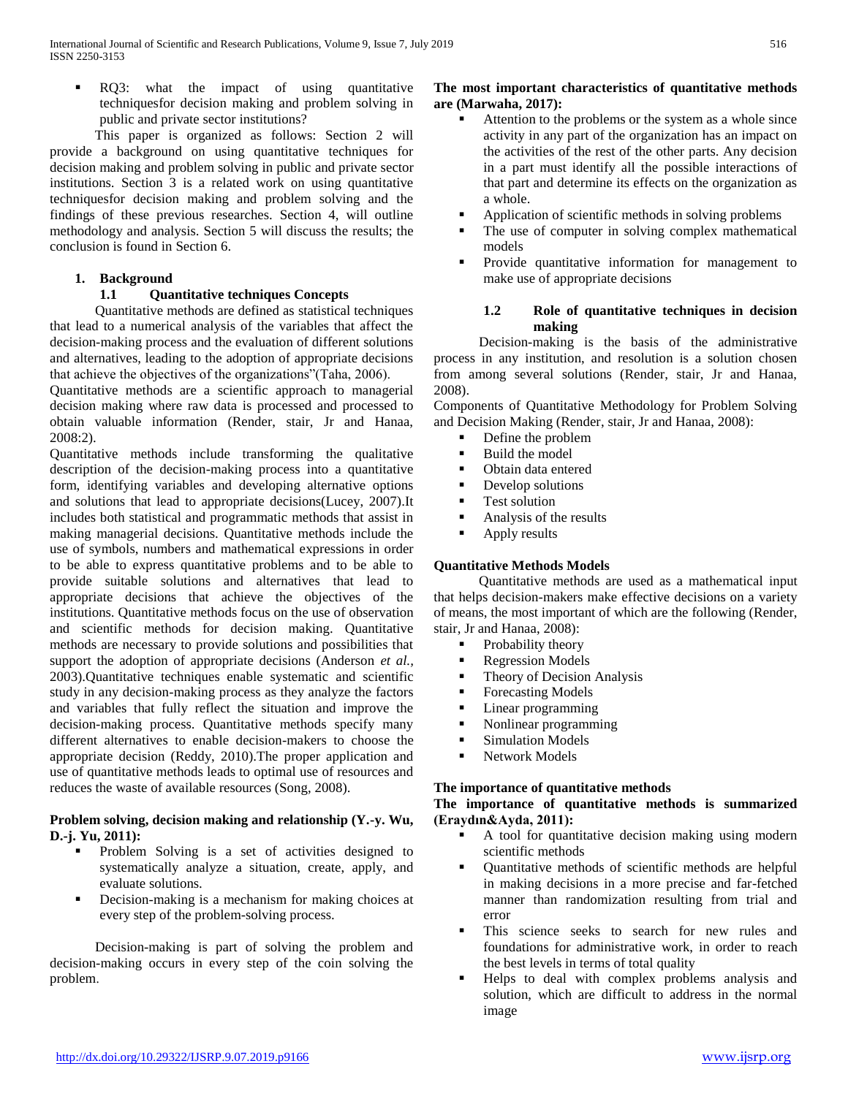RQ3: what the impact of using quantitative techniquesfor decision making and problem solving in public and private sector institutions?

 This paper is organized as follows: Section 2 will provide a background on using quantitative techniques for decision making and problem solving in public and private sector institutions. Section 3 is a related work on using quantitative techniquesfor decision making and problem solving and the findings of these previous researches. Section 4, will outline methodology and analysis. Section 5 will discuss the results; the conclusion is found in Section 6.

## **1. Background**

## **1.1 Quantitative techniques Concepts**

 Quantitative methods are defined as statistical techniques that lead to a numerical analysis of the variables that affect the decision-making process and the evaluation of different solutions and alternatives, leading to the adoption of appropriate decisions that achieve the objectives of the organizations"(Taha, 2006).

Quantitative methods are a scientific approach to managerial decision making where raw data is processed and processed to obtain valuable information (Render, stair, Jr and Hanaa, 2008:2).

Quantitative methods include transforming the qualitative description of the decision-making process into a quantitative form, identifying variables and developing alternative options and solutions that lead to appropriate decisions(Lucey, 2007).It includes both statistical and programmatic methods that assist in making managerial decisions. Quantitative methods include the use of symbols, numbers and mathematical expressions in order to be able to express quantitative problems and to be able to provide suitable solutions and alternatives that lead to appropriate decisions that achieve the objectives of the institutions. Quantitative methods focus on the use of observation and scientific methods for decision making. Quantitative methods are necessary to provide solutions and possibilities that support the adoption of appropriate decisions (Anderson *et al.,* 2003).Quantitative techniques enable systematic and scientific study in any decision-making process as they analyze the factors and variables that fully reflect the situation and improve the decision-making process. Quantitative methods specify many different alternatives to enable decision-makers to choose the appropriate decision (Reddy, 2010).The proper application and use of quantitative methods leads to optimal use of resources and reduces the waste of available resources (Song, 2008).

## **Problem solving, decision making and relationship (Y.-y. Wu, D.-j. Yu, 2011):**

- Problem Solving is a set of activities designed to systematically analyze a situation, create, apply, and evaluate solutions.
- Decision-making is a mechanism for making choices at every step of the problem-solving process.

 Decision-making is part of solving the problem and decision-making occurs in every step of the coin solving the problem.

## **The most important characteristics of quantitative methods are (Marwaha, 2017):**

- Attention to the problems or the system as a whole since activity in any part of the organization has an impact on the activities of the rest of the other parts. Any decision in a part must identify all the possible interactions of that part and determine its effects on the organization as a whole.
- Application of scientific methods in solving problems
- The use of computer in solving complex mathematical models
- Provide quantitative information for management to make use of appropriate decisions

#### **1.2 Role of quantitative techniques in decision making**

 Decision-making is the basis of the administrative process in any institution, and resolution is a solution chosen from among several solutions (Render, stair, Jr and Hanaa, 2008).

Components of Quantitative Methodology for Problem Solving and Decision Making (Render, stair, Jr and Hanaa, 2008):

- Define the problem
- Build the model
- Obtain data entered
- Develop solutions
- Test solution
- Analysis of the results
- **Apply results**

# **Quantitative Methods Models**

 Quantitative methods are used as a mathematical input that helps decision-makers make effective decisions on a variety of means, the most important of which are the following (Render, stair, Jr and Hanaa, 2008):

- Probability theory
- **Regression Models**
- Theory of Decision Analysis
- Forecasting Models
- **Linear programming**
- Nonlinear programming
- **Simulation Models**
- Network Models

#### **The importance of quantitative methods**

#### **The importance of quantitative methods is summarized (Eraydın&Ayda, 2011):**

- A tool for quantitative decision making using modern scientific methods
- Quantitative methods of scientific methods are helpful in making decisions in a more precise and far-fetched manner than randomization resulting from trial and error
- This science seeks to search for new rules and foundations for administrative work, in order to reach the best levels in terms of total quality
- Helps to deal with complex problems analysis and solution, which are difficult to address in the normal image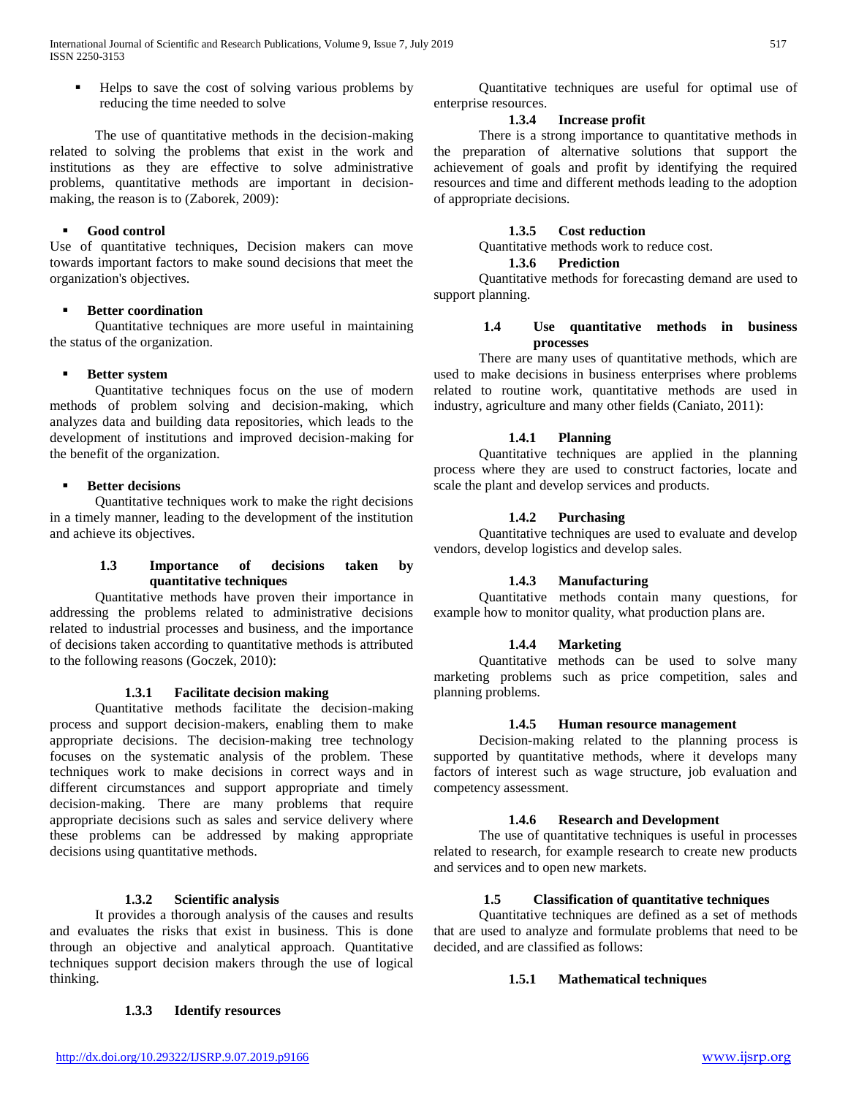Helps to save the cost of solving various problems by reducing the time needed to solve

 The use of quantitative methods in the decision-making related to solving the problems that exist in the work and institutions as they are effective to solve administrative problems, quantitative methods are important in decisionmaking, the reason is to (Zaborek, 2009):

#### **Good control**

Use of quantitative techniques, Decision makers can move towards important factors to make sound decisions that meet the organization's objectives.

#### **Better coordination**

 Quantitative techniques are more useful in maintaining the status of the organization.

## **Better system**

 Quantitative techniques focus on the use of modern methods of problem solving and decision-making, which analyzes data and building data repositories, which leads to the development of institutions and improved decision-making for the benefit of the organization.

#### **Better decisions**

 Quantitative techniques work to make the right decisions in a timely manner, leading to the development of the institution and achieve its objectives.

## **1.3 Importance of decisions taken by quantitative techniques**

 Quantitative methods have proven their importance in addressing the problems related to administrative decisions related to industrial processes and business, and the importance of decisions taken according to quantitative methods is attributed to the following reasons (Goczek, 2010):

#### **1.3.1 Facilitate decision making**

 Quantitative methods facilitate the decision-making process and support decision-makers, enabling them to make appropriate decisions. The decision-making tree technology focuses on the systematic analysis of the problem. These techniques work to make decisions in correct ways and in different circumstances and support appropriate and timely decision-making. There are many problems that require appropriate decisions such as sales and service delivery where these problems can be addressed by making appropriate decisions using quantitative methods.

# **1.3.2 Scientific analysis**

 It provides a thorough analysis of the causes and results and evaluates the risks that exist in business. This is done through an objective and analytical approach. Quantitative techniques support decision makers through the use of logical thinking.

#### **1.3.3 Identify resources**

 Quantitative techniques are useful for optimal use of enterprise resources.

#### **1.3.4 Increase profit**

 There is a strong importance to quantitative methods in the preparation of alternative solutions that support the achievement of goals and profit by identifying the required resources and time and different methods leading to the adoption of appropriate decisions.

## **1.3.5 Cost reduction**

Quantitative methods work to reduce cost.

#### **1.3.6 Prediction**

 Quantitative methods for forecasting demand are used to support planning.

#### **1.4 Use quantitative methods in business processes**

 There are many uses of quantitative methods, which are used to make decisions in business enterprises where problems related to routine work, quantitative methods are used in industry, agriculture and many other fields (Caniato, 2011):

# **1.4.1 Planning**

 Quantitative techniques are applied in the planning process where they are used to construct factories, locate and scale the plant and develop services and products.

## **1.4.2 Purchasing**

 Quantitative techniques are used to evaluate and develop vendors, develop logistics and develop sales.

#### **1.4.3 Manufacturing**

 Quantitative methods contain many questions, for example how to monitor quality, what production plans are.

#### **1.4.4 Marketing**

 Quantitative methods can be used to solve many marketing problems such as price competition, sales and planning problems.

#### **1.4.5 Human resource management**

 Decision-making related to the planning process is supported by quantitative methods, where it develops many factors of interest such as wage structure, job evaluation and competency assessment.

#### **1.4.6 Research and Development**

 The use of quantitative techniques is useful in processes related to research, for example research to create new products and services and to open new markets.

# **1.5 Classification of quantitative techniques**

 Quantitative techniques are defined as a set of methods that are used to analyze and formulate problems that need to be decided, and are classified as follows:

# **1.5.1 Mathematical techniques**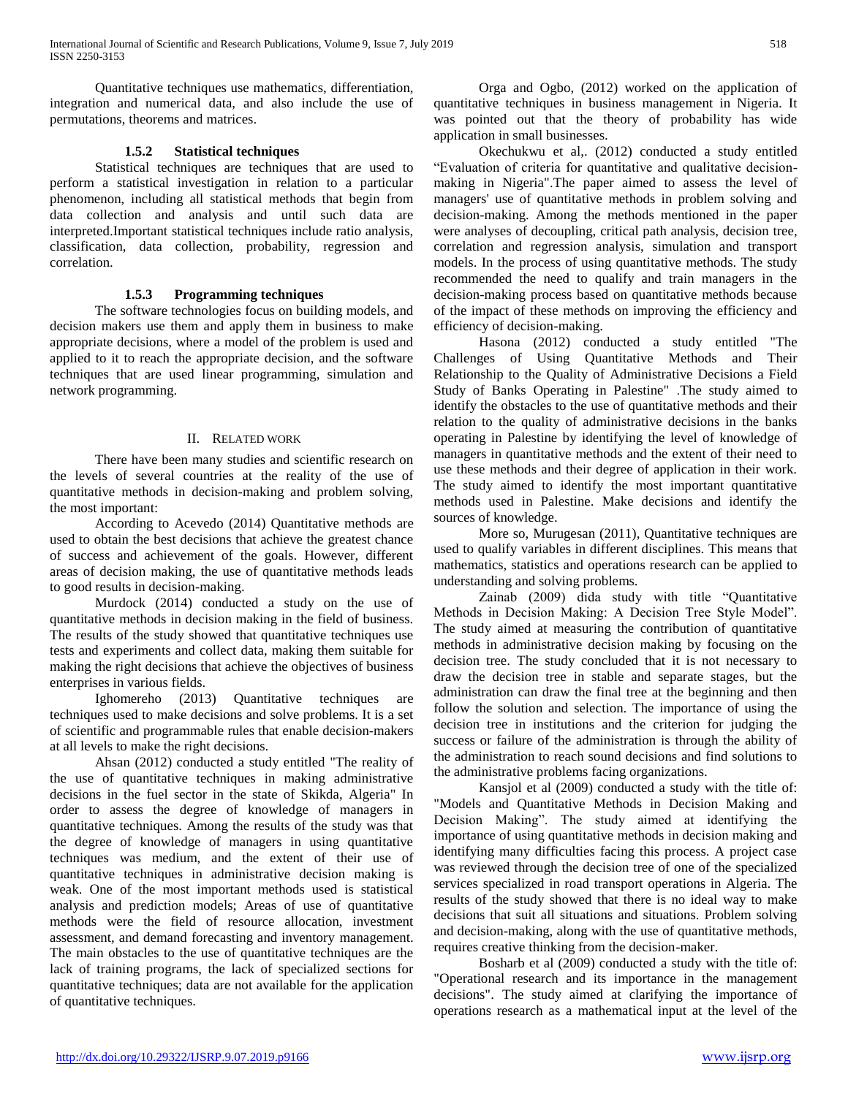Quantitative techniques use mathematics, differentiation, integration and numerical data, and also include the use of permutations, theorems and matrices.

## **1.5.2 Statistical techniques**

 Statistical techniques are techniques that are used to perform a statistical investigation in relation to a particular phenomenon, including all statistical methods that begin from data collection and analysis and until such data are interpreted.Important statistical techniques include ratio analysis, classification, data collection, probability, regression and correlation.

## **1.5.3 Programming techniques**

 The software technologies focus on building models, and decision makers use them and apply them in business to make appropriate decisions, where a model of the problem is used and applied to it to reach the appropriate decision, and the software techniques that are used linear programming, simulation and network programming.

## II. RELATED WORK

 There have been many studies and scientific research on the levels of several countries at the reality of the use of quantitative methods in decision-making and problem solving, the most important:

 According to Acevedo (2014) Quantitative methods are used to obtain the best decisions that achieve the greatest chance of success and achievement of the goals. However, different areas of decision making, the use of quantitative methods leads to good results in decision-making.

 Murdock (2014) conducted a study on the use of quantitative methods in decision making in the field of business. The results of the study showed that quantitative techniques use tests and experiments and collect data, making them suitable for making the right decisions that achieve the objectives of business enterprises in various fields.

 Ighomereho (2013) Quantitative techniques are techniques used to make decisions and solve problems. It is a set of scientific and programmable rules that enable decision-makers at all levels to make the right decisions.

 Ahsan (2012) conducted a study entitled "The reality of the use of quantitative techniques in making administrative decisions in the fuel sector in the state of Skikda, Algeria" In order to assess the degree of knowledge of managers in quantitative techniques. Among the results of the study was that the degree of knowledge of managers in using quantitative techniques was medium, and the extent of their use of quantitative techniques in administrative decision making is weak. One of the most important methods used is statistical analysis and prediction models; Areas of use of quantitative methods were the field of resource allocation, investment assessment, and demand forecasting and inventory management. The main obstacles to the use of quantitative techniques are the lack of training programs, the lack of specialized sections for quantitative techniques; data are not available for the application of quantitative techniques.

 Orga and Ogbo, (2012) worked on the application of quantitative techniques in business management in Nigeria. It was pointed out that the theory of probability has wide application in small businesses.

 Okechukwu et al,. (2012) conducted a study entitled "Evaluation of criteria for quantitative and qualitative decisionmaking in Nigeria".The paper aimed to assess the level of managers' use of quantitative methods in problem solving and decision-making. Among the methods mentioned in the paper were analyses of decoupling, critical path analysis, decision tree, correlation and regression analysis, simulation and transport models. In the process of using quantitative methods. The study recommended the need to qualify and train managers in the decision-making process based on quantitative methods because of the impact of these methods on improving the efficiency and efficiency of decision-making.

 Hasona (2012) conducted a study entitled "The Challenges of Using Quantitative Methods and Their Relationship to the Quality of Administrative Decisions a Field Study of Banks Operating in Palestine" .The study aimed to identify the obstacles to the use of quantitative methods and their relation to the quality of administrative decisions in the banks operating in Palestine by identifying the level of knowledge of managers in quantitative methods and the extent of their need to use these methods and their degree of application in their work. The study aimed to identify the most important quantitative methods used in Palestine. Make decisions and identify the sources of knowledge.

 More so, Murugesan (2011), Quantitative techniques are used to qualify variables in different disciplines. This means that mathematics, statistics and operations research can be applied to understanding and solving problems.

 Zainab (2009) dida study with title "Quantitative Methods in Decision Making: A Decision Tree Style Model". The study aimed at measuring the contribution of quantitative methods in administrative decision making by focusing on the decision tree. The study concluded that it is not necessary to draw the decision tree in stable and separate stages, but the administration can draw the final tree at the beginning and then follow the solution and selection. The importance of using the decision tree in institutions and the criterion for judging the success or failure of the administration is through the ability of the administration to reach sound decisions and find solutions to the administrative problems facing organizations.

 Kansjol et al (2009) conducted a study with the title of: "Models and Quantitative Methods in Decision Making and Decision Making". The study aimed at identifying the importance of using quantitative methods in decision making and identifying many difficulties facing this process. A project case was reviewed through the decision tree of one of the specialized services specialized in road transport operations in Algeria. The results of the study showed that there is no ideal way to make decisions that suit all situations and situations. Problem solving and decision-making, along with the use of quantitative methods, requires creative thinking from the decision-maker.

 Bosharb et al (2009) conducted a study with the title of: "Operational research and its importance in the management decisions". The study aimed at clarifying the importance of operations research as a mathematical input at the level of the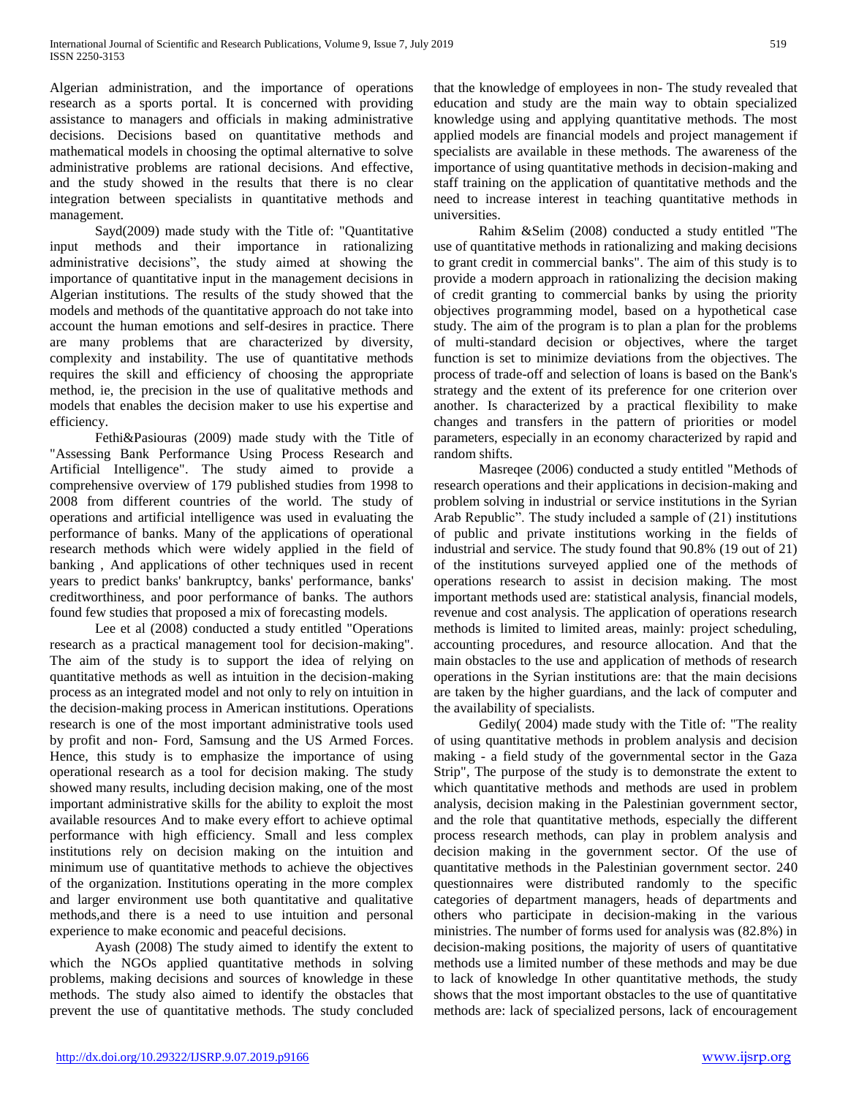Algerian administration, and the importance of operations research as a sports portal. It is concerned with providing assistance to managers and officials in making administrative decisions. Decisions based on quantitative methods and mathematical models in choosing the optimal alternative to solve administrative problems are rational decisions. And effective, and the study showed in the results that there is no clear integration between specialists in quantitative methods and management.

 Sayd(2009) made study with the Title of: "Quantitative input methods and their importance in rationalizing administrative decisions", the study aimed at showing the importance of quantitative input in the management decisions in Algerian institutions. The results of the study showed that the models and methods of the quantitative approach do not take into account the human emotions and self-desires in practice. There are many problems that are characterized by diversity, complexity and instability. The use of quantitative methods requires the skill and efficiency of choosing the appropriate method, ie, the precision in the use of qualitative methods and models that enables the decision maker to use his expertise and efficiency.

 Fethi&Pasiouras (2009) made study with the Title of "Assessing Bank Performance Using Process Research and Artificial Intelligence". The study aimed to provide a comprehensive overview of 179 published studies from 1998 to 2008 from different countries of the world. The study of operations and artificial intelligence was used in evaluating the performance of banks. Many of the applications of operational research methods which were widely applied in the field of banking , And applications of other techniques used in recent years to predict banks' bankruptcy, banks' performance, banks' creditworthiness, and poor performance of banks. The authors found few studies that proposed a mix of forecasting models.

 Lee et al (2008) conducted a study entitled "Operations research as a practical management tool for decision-making". The aim of the study is to support the idea of relying on quantitative methods as well as intuition in the decision-making process as an integrated model and not only to rely on intuition in the decision-making process in American institutions. Operations research is one of the most important administrative tools used by profit and non- Ford, Samsung and the US Armed Forces. Hence, this study is to emphasize the importance of using operational research as a tool for decision making. The study showed many results, including decision making, one of the most important administrative skills for the ability to exploit the most available resources And to make every effort to achieve optimal performance with high efficiency. Small and less complex institutions rely on decision making on the intuition and minimum use of quantitative methods to achieve the objectives of the organization. Institutions operating in the more complex and larger environment use both quantitative and qualitative methods,and there is a need to use intuition and personal experience to make economic and peaceful decisions.

 Ayash (2008) The study aimed to identify the extent to which the NGOs applied quantitative methods in solving problems, making decisions and sources of knowledge in these methods. The study also aimed to identify the obstacles that prevent the use of quantitative methods. The study concluded

that the knowledge of employees in non- The study revealed that education and study are the main way to obtain specialized knowledge using and applying quantitative methods. The most applied models are financial models and project management if specialists are available in these methods. The awareness of the importance of using quantitative methods in decision-making and staff training on the application of quantitative methods and the need to increase interest in teaching quantitative methods in universities.

 Rahim &Selim (2008) conducted a study entitled "The use of quantitative methods in rationalizing and making decisions to grant credit in commercial banks". The aim of this study is to provide a modern approach in rationalizing the decision making of credit granting to commercial banks by using the priority objectives programming model, based on a hypothetical case study. The aim of the program is to plan a plan for the problems of multi-standard decision or objectives, where the target function is set to minimize deviations from the objectives. The process of trade-off and selection of loans is based on the Bank's strategy and the extent of its preference for one criterion over another. Is characterized by a practical flexibility to make changes and transfers in the pattern of priorities or model parameters, especially in an economy characterized by rapid and random shifts.

 Masreqee (2006) conducted a study entitled "Methods of research operations and their applications in decision-making and problem solving in industrial or service institutions in the Syrian Arab Republic". The study included a sample of (21) institutions of public and private institutions working in the fields of industrial and service. The study found that 90.8% (19 out of 21) of the institutions surveyed applied one of the methods of operations research to assist in decision making. The most important methods used are: statistical analysis, financial models, revenue and cost analysis. The application of operations research methods is limited to limited areas, mainly: project scheduling, accounting procedures, and resource allocation. And that the main obstacles to the use and application of methods of research operations in the Syrian institutions are: that the main decisions are taken by the higher guardians, and the lack of computer and the availability of specialists.

 Gedily( 2004) made study with the Title of: "The reality of using quantitative methods in problem analysis and decision making - a field study of the governmental sector in the Gaza Strip", The purpose of the study is to demonstrate the extent to which quantitative methods and methods are used in problem analysis, decision making in the Palestinian government sector, and the role that quantitative methods, especially the different process research methods, can play in problem analysis and decision making in the government sector. Of the use of quantitative methods in the Palestinian government sector. 240 questionnaires were distributed randomly to the specific categories of department managers, heads of departments and others who participate in decision-making in the various ministries. The number of forms used for analysis was (82.8%) in decision-making positions, the majority of users of quantitative methods use a limited number of these methods and may be due to lack of knowledge In other quantitative methods, the study shows that the most important obstacles to the use of quantitative methods are: lack of specialized persons, lack of encouragement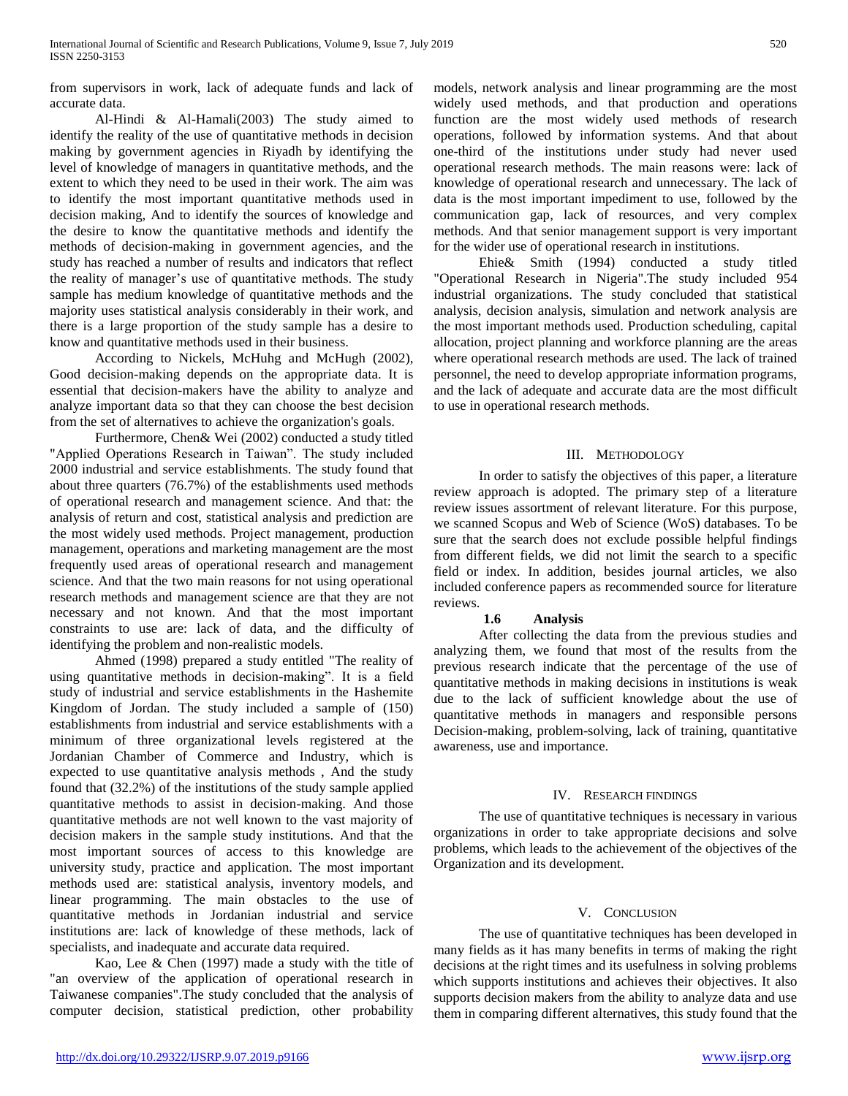from supervisors in work, lack of adequate funds and lack of accurate data.

 Al-Hindi & Al-Hamali(2003) The study aimed to identify the reality of the use of quantitative methods in decision making by government agencies in Riyadh by identifying the level of knowledge of managers in quantitative methods, and the extent to which they need to be used in their work. The aim was to identify the most important quantitative methods used in decision making, And to identify the sources of knowledge and the desire to know the quantitative methods and identify the methods of decision-making in government agencies, and the study has reached a number of results and indicators that reflect the reality of manager's use of quantitative methods. The study sample has medium knowledge of quantitative methods and the majority uses statistical analysis considerably in their work, and there is a large proportion of the study sample has a desire to know and quantitative methods used in their business.

 According to Nickels, McHuhg and McHugh (2002), Good decision-making depends on the appropriate data. It is essential that decision-makers have the ability to analyze and analyze important data so that they can choose the best decision from the set of alternatives to achieve the organization's goals.

 Furthermore, Chen& Wei (2002) conducted a study titled "Applied Operations Research in Taiwan". The study included 2000 industrial and service establishments. The study found that about three quarters (76.7%) of the establishments used methods of operational research and management science. And that: the analysis of return and cost, statistical analysis and prediction are the most widely used methods. Project management, production management, operations and marketing management are the most frequently used areas of operational research and management science. And that the two main reasons for not using operational research methods and management science are that they are not necessary and not known. And that the most important constraints to use are: lack of data, and the difficulty of identifying the problem and non-realistic models.

 Ahmed (1998) prepared a study entitled "The reality of using quantitative methods in decision-making". It is a field study of industrial and service establishments in the Hashemite Kingdom of Jordan. The study included a sample of (150) establishments from industrial and service establishments with a minimum of three organizational levels registered at the Jordanian Chamber of Commerce and Industry, which is expected to use quantitative analysis methods , And the study found that (32.2%) of the institutions of the study sample applied quantitative methods to assist in decision-making. And those quantitative methods are not well known to the vast majority of decision makers in the sample study institutions. And that the most important sources of access to this knowledge are university study, practice and application. The most important methods used are: statistical analysis, inventory models, and linear programming. The main obstacles to the use of quantitative methods in Jordanian industrial and service institutions are: lack of knowledge of these methods, lack of specialists, and inadequate and accurate data required.

 Kao, Lee & Chen (1997) made a study with the title of "an overview of the application of operational research in Taiwanese companies".The study concluded that the analysis of computer decision, statistical prediction, other probability models, network analysis and linear programming are the most widely used methods, and that production and operations function are the most widely used methods of research operations, followed by information systems. And that about one-third of the institutions under study had never used operational research methods. The main reasons were: lack of knowledge of operational research and unnecessary. The lack of data is the most important impediment to use, followed by the communication gap, lack of resources, and very complex methods. And that senior management support is very important for the wider use of operational research in institutions.

 Ehie& Smith (1994) conducted a study titled "Operational Research in Nigeria".The study included 954 industrial organizations. The study concluded that statistical analysis, decision analysis, simulation and network analysis are the most important methods used. Production scheduling, capital allocation, project planning and workforce planning are the areas where operational research methods are used. The lack of trained personnel, the need to develop appropriate information programs, and the lack of adequate and accurate data are the most difficult to use in operational research methods.

## III. METHODOLOGY

 In order to satisfy the objectives of this paper, a literature review approach is adopted. The primary step of a literature review issues assortment of relevant literature. For this purpose, we scanned Scopus and Web of Science (WoS) databases. To be sure that the search does not exclude possible helpful findings from different fields, we did not limit the search to a specific field or index. In addition, besides journal articles, we also included conference papers as recommended source for literature reviews.

# **1.6 Analysis**

 After collecting the data from the previous studies and analyzing them, we found that most of the results from the previous research indicate that the percentage of the use of quantitative methods in making decisions in institutions is weak due to the lack of sufficient knowledge about the use of quantitative methods in managers and responsible persons Decision-making, problem-solving, lack of training, quantitative awareness, use and importance.

#### IV. RESEARCH FINDINGS

 The use of quantitative techniques is necessary in various organizations in order to take appropriate decisions and solve problems, which leads to the achievement of the objectives of the Organization and its development.

# V. CONCLUSION

 The use of quantitative techniques has been developed in many fields as it has many benefits in terms of making the right decisions at the right times and its usefulness in solving problems which supports institutions and achieves their objectives. It also supports decision makers from the ability to analyze data and use them in comparing different alternatives, this study found that the